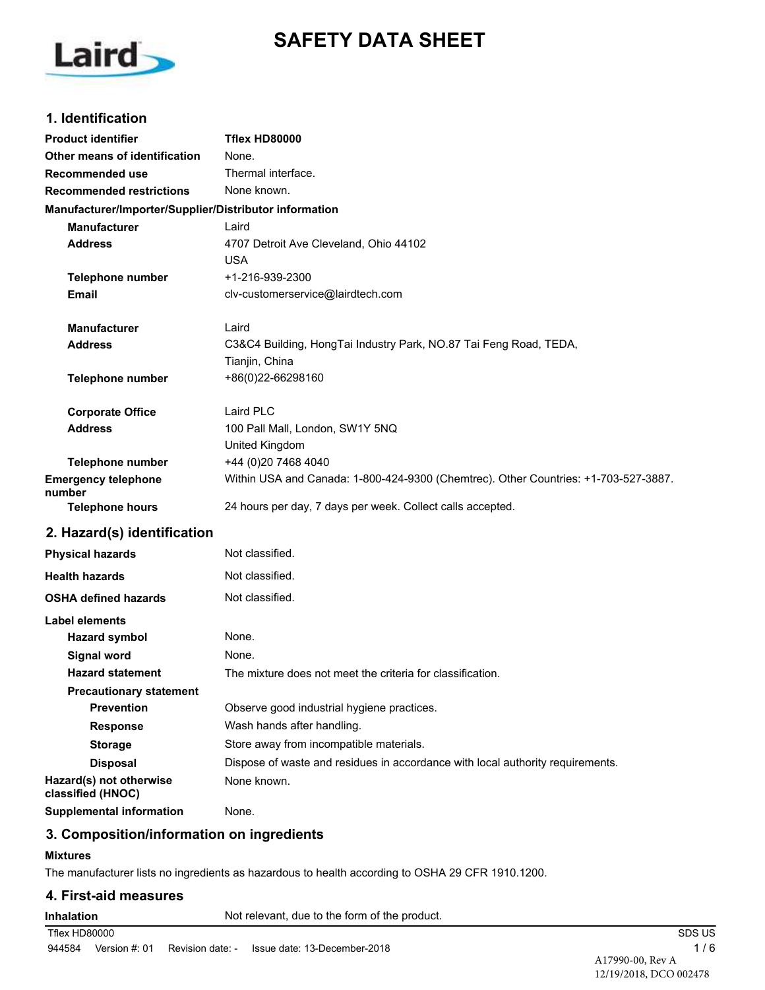# **SAFETY DATA SHEET**



# **1. Identification**

| <b>Product identifier</b>                              | Tflex HD80000                                                                       |
|--------------------------------------------------------|-------------------------------------------------------------------------------------|
| Other means of identification                          | None.                                                                               |
| <b>Recommended use</b>                                 | Thermal interface.                                                                  |
| <b>Recommended restrictions</b>                        | None known.                                                                         |
| Manufacturer/Importer/Supplier/Distributor information |                                                                                     |
| <b>Manufacturer</b>                                    | Laird                                                                               |
| <b>Address</b>                                         | 4707 Detroit Ave Cleveland, Ohio 44102                                              |
|                                                        | <b>USA</b>                                                                          |
| <b>Telephone number</b>                                | +1-216-939-2300                                                                     |
| Email                                                  | clv-customerservice@lairdtech.com                                                   |
| Manufacturer                                           | Laird                                                                               |
| <b>Address</b>                                         | C3&C4 Building, HongTai Industry Park, NO.87 Tai Feng Road, TEDA,                   |
|                                                        | Tianjin, China                                                                      |
| <b>Telephone number</b>                                | +86(0)22-66298160                                                                   |
| <b>Corporate Office</b>                                | Laird PLC                                                                           |
| <b>Address</b>                                         | 100 Pall Mall, London, SW1Y 5NQ                                                     |
|                                                        | United Kingdom                                                                      |
| Telephone number                                       | +44 (0)20 7468 4040                                                                 |
| <b>Emergency telephone</b><br>number                   | Within USA and Canada: 1-800-424-9300 (Chemtrec). Other Countries: +1-703-527-3887. |
| <b>Telephone hours</b>                                 | 24 hours per day, 7 days per week. Collect calls accepted.                          |
| 2. Hazard(s) identification                            |                                                                                     |
| <b>Physical hazards</b>                                | Not classified.                                                                     |
| <b>Health hazards</b>                                  | Not classified.                                                                     |
| <b>OSHA defined hazards</b>                            | Not classified.                                                                     |
| Label elements                                         |                                                                                     |
| <b>Hazard symbol</b>                                   | None.                                                                               |
| <b>Signal word</b>                                     | None.                                                                               |
| <b>Hazard statement</b>                                | The mixture does not meet the criteria for classification.                          |
| <b>Precautionary statement</b>                         |                                                                                     |
| <b>Prevention</b>                                      | Observe good industrial hygiene practices.                                          |
| <b>Response</b>                                        | Wash hands after handling.                                                          |
| <b>Storage</b>                                         | Store away from incompatible materials.                                             |
| <b>Disposal</b>                                        | Dispose of waste and residues in accordance with local authority requirements.      |
| Hazard(s) not otherwise<br>classified (HNOC)           | None known.                                                                         |
| <b>Supplemental information</b>                        | None.                                                                               |

# **3. Composition/information on ingredients**

#### **Mixtures**

The manufacturer lists no ingredients as hazardous to health according to OSHA 29 CFR 1910.1200.

#### **4. First-aid measures**

| Inhalation | Not relevant, due to the form of the product. |
|------------|-----------------------------------------------|
|            |                                               |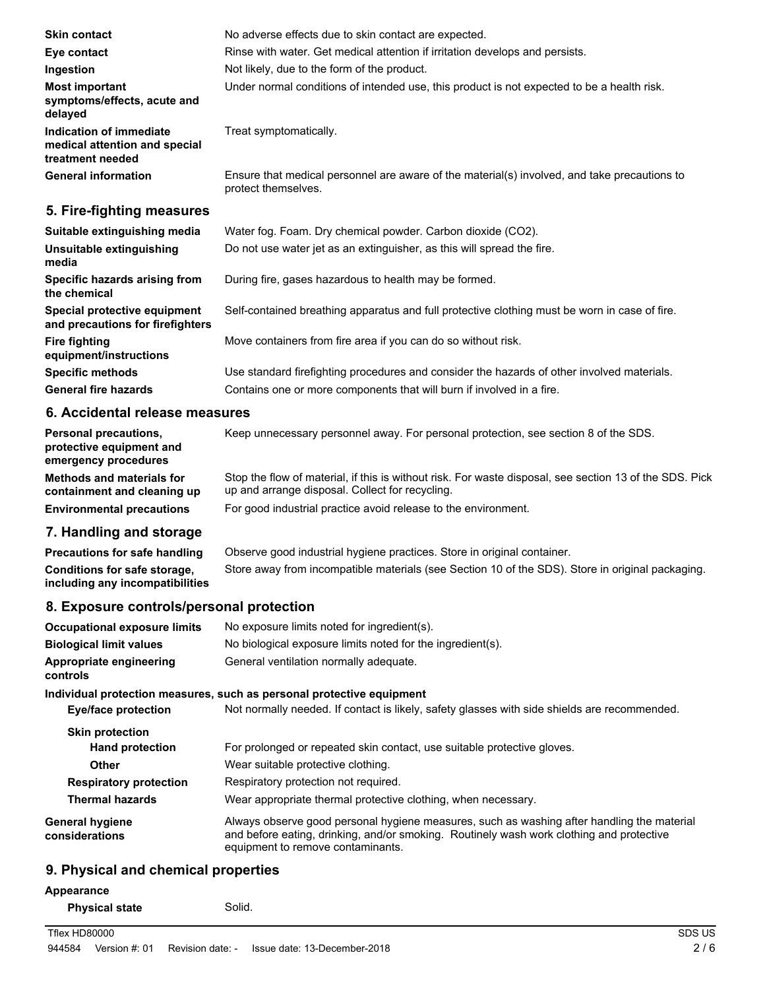| <b>Skin contact</b>                                                          | No adverse effects due to skin contact are expected.                                                                |  |
|------------------------------------------------------------------------------|---------------------------------------------------------------------------------------------------------------------|--|
| Eye contact                                                                  | Rinse with water. Get medical attention if irritation develops and persists.                                        |  |
| Ingestion                                                                    | Not likely, due to the form of the product.                                                                         |  |
| <b>Most important</b><br>symptoms/effects, acute and<br>delayed              | Under normal conditions of intended use, this product is not expected to be a health risk.                          |  |
| Indication of immediate<br>medical attention and special<br>treatment needed | Treat symptomatically.                                                                                              |  |
| <b>General information</b>                                                   | Ensure that medical personnel are aware of the material(s) involved, and take precautions to<br>protect themselves. |  |
| 5. Fire-fighting measures                                                    |                                                                                                                     |  |
| Suitable extinguishing media                                                 | Water fog. Foam. Dry chemical powder. Carbon dioxide (CO2).                                                         |  |
| Unsuitable extinguishing<br>media                                            | Do not use water jet as an extinguisher, as this will spread the fire.                                              |  |
| Specific hazards arising from                                                | During fire, gases hazardous to health may be formed.                                                               |  |

**Special protective equipment** Self-contained breathing apparatus and full protective clothing must be worn in case of fire. **and precautions for firefighters**

**Fire fighting Move containers from fire area if you can do so without risk.** 

**Specific methods** Use standard firefighting procedures and consider the hazards of other involved materials. **General fire hazards** Contains one or more components that will burn if involved in a fire.

### **6. Accidental release measures**

**the chemical**

**equipment/instructions**

| <b>Personal precautions,</b><br>protective equipment and<br>emergency procedures | Keep unnecessary personnel away. For personal protection, see section 8 of the SDS.                                                                        |
|----------------------------------------------------------------------------------|------------------------------------------------------------------------------------------------------------------------------------------------------------|
| <b>Methods and materials for</b><br>containment and cleaning up                  | Stop the flow of material, if this is without risk. For waste disposal, see section 13 of the SDS. Pick<br>up and arrange disposal. Collect for recycling. |
| <b>Environmental precautions</b>                                                 | For good industrial practice avoid release to the environment.                                                                                             |

# **7. Handling and storage**

**Precautions for safe handling** Observe good industrial hygiene practices. Store in original container. **Conditions for safe storage,** Store away from incompatible materials (see Section 10 of the SDS). Store in original packaging. **including any incompatibilities**

# **8. Exposure controls/personal protection**

| <b>Occupational exposure limits</b>      | No exposure limits noted for ingredient(s).                                                                                                                                                                                 |
|------------------------------------------|-----------------------------------------------------------------------------------------------------------------------------------------------------------------------------------------------------------------------------|
| <b>Biological limit values</b>           | No biological exposure limits noted for the ingredient(s).                                                                                                                                                                  |
| Appropriate engineering<br>controls      | General ventilation normally adequate.                                                                                                                                                                                      |
|                                          | Individual protection measures, such as personal protective equipment                                                                                                                                                       |
| <b>Eye/face protection</b>               | Not normally needed. If contact is likely, safety glasses with side shields are recommended.                                                                                                                                |
| <b>Skin protection</b>                   |                                                                                                                                                                                                                             |
| <b>Hand protection</b>                   | For prolonged or repeated skin contact, use suitable protective gloves.                                                                                                                                                     |
| <b>Other</b>                             | Wear suitable protective clothing.                                                                                                                                                                                          |
| <b>Respiratory protection</b>            | Respiratory protection not required.                                                                                                                                                                                        |
| <b>Thermal hazards</b>                   | Wear appropriate thermal protective clothing, when necessary.                                                                                                                                                               |
| <b>General hygiene</b><br>considerations | Always observe good personal hygiene measures, such as washing after handling the material<br>and before eating, drinking, and/or smoking. Routinely wash work clothing and protective<br>equipment to remove contaminants. |
|                                          |                                                                                                                                                                                                                             |

# **9. Physical and chemical properties**

#### **Appearance**

**Physical state** Solid.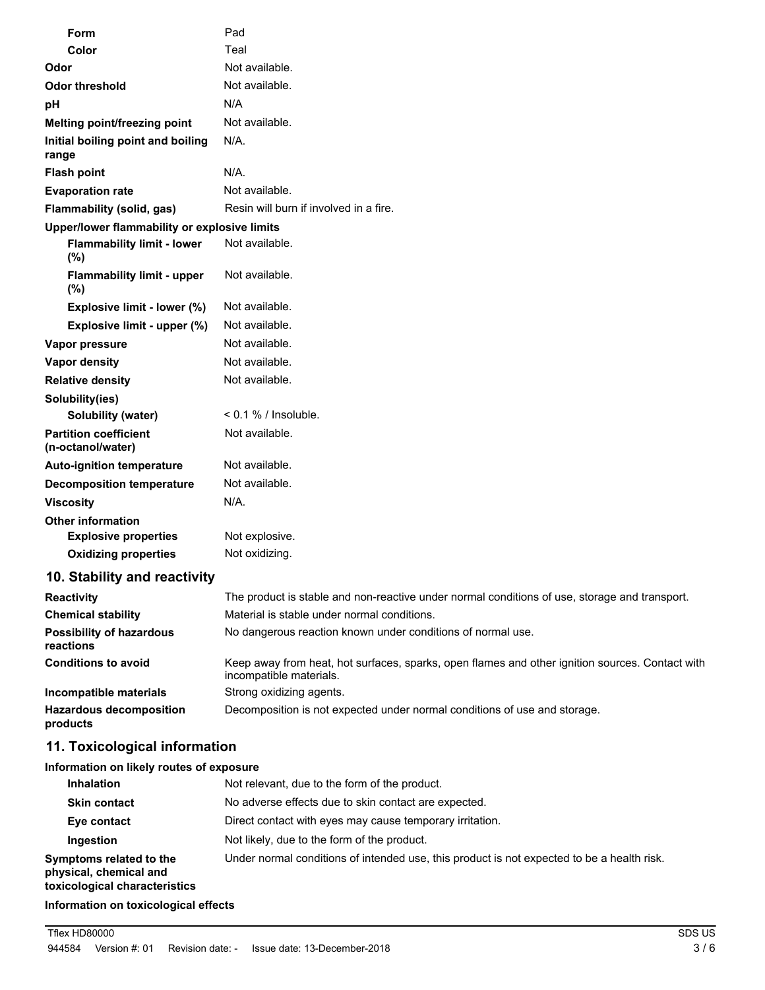| Form                                              | Pad                                                                                           |
|---------------------------------------------------|-----------------------------------------------------------------------------------------------|
| Color                                             | Teal                                                                                          |
| Odor                                              | Not available.                                                                                |
| <b>Odor threshold</b>                             | Not available.                                                                                |
| рH                                                | N/A                                                                                           |
| Melting point/freezing point                      | Not available.                                                                                |
| Initial boiling point and boiling<br>range        | N/A.                                                                                          |
| <b>Flash point</b>                                | N/A.                                                                                          |
| <b>Evaporation rate</b>                           | Not available.                                                                                |
| Flammability (solid, gas)                         | Resin will burn if involved in a fire.                                                        |
| Upper/lower flammability or explosive limits      |                                                                                               |
| <b>Flammability limit - lower</b><br>(%)          | Not available.                                                                                |
| <b>Flammability limit - upper</b><br>(%)          | Not available.                                                                                |
| Explosive limit - lower (%)                       | Not available.                                                                                |
| Explosive limit - upper (%)                       | Not available.                                                                                |
| Vapor pressure                                    | Not available.                                                                                |
| <b>Vapor density</b>                              | Not available.                                                                                |
| <b>Relative density</b>                           | Not available.                                                                                |
| Solubility(ies)                                   |                                                                                               |
| <b>Solubility (water)</b>                         | $< 0.1 \%$ / Insoluble.                                                                       |
| <b>Partition coefficient</b><br>(n-octanol/water) | Not available.                                                                                |
| <b>Auto-ignition temperature</b>                  | Not available.                                                                                |
| <b>Decomposition temperature</b>                  | Not available.                                                                                |
| <b>Viscosity</b>                                  | N/A.                                                                                          |
| <b>Other information</b>                          |                                                                                               |
| <b>Explosive properties</b>                       | Not explosive.                                                                                |
| <b>Oxidizing properties</b>                       | Not oxidizing.                                                                                |
| 10. Stability and reactivity                      |                                                                                               |
| <b>Reactivity</b>                                 | The product is stable and non-reactive under normal conditions of use, storage and transport. |

| <b>INGULIVILY</b>                            | The product is stable and non-reactive ander nomial conditions or ase, storage and transport.                              |  |
|----------------------------------------------|----------------------------------------------------------------------------------------------------------------------------|--|
| <b>Chemical stability</b>                    | Material is stable under normal conditions.                                                                                |  |
| <b>Possibility of hazardous</b><br>reactions | No dangerous reaction known under conditions of normal use.                                                                |  |
| <b>Conditions to avoid</b>                   | Keep away from heat, hot surfaces, sparks, open flames and other ignition sources. Contact with<br>incompatible materials. |  |
| Incompatible materials                       | Strong oxidizing agents.                                                                                                   |  |
| <b>Hazardous decomposition</b><br>products   | Decomposition is not expected under normal conditions of use and storage.                                                  |  |

# **11. Toxicological information**

# **Information on likely routes of exposure**

| <b>Inhalation</b>                                                                  | Not relevant, due to the form of the product.                                              |
|------------------------------------------------------------------------------------|--------------------------------------------------------------------------------------------|
| <b>Skin contact</b>                                                                | No adverse effects due to skin contact are expected.                                       |
| Eye contact                                                                        | Direct contact with eyes may cause temporary irritation.                                   |
| Ingestion                                                                          | Not likely, due to the form of the product.                                                |
| Symptoms related to the<br>physical, chemical and<br>toxicological characteristics | Under normal conditions of intended use, this product is not expected to be a health risk. |

#### **Information on toxicological effects**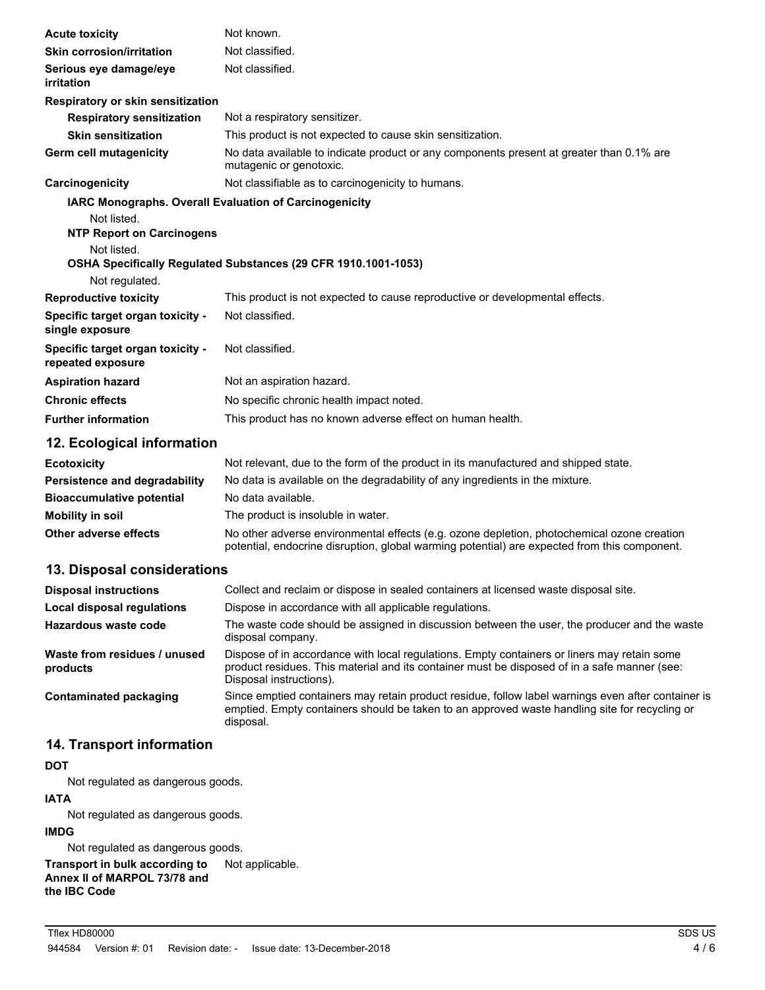| <b>Acute toxicity</b>                                         | Not known.                                                                                                          |
|---------------------------------------------------------------|---------------------------------------------------------------------------------------------------------------------|
| <b>Skin corrosion/irritation</b>                              | Not classified.                                                                                                     |
| Serious eye damage/eye<br>irritation                          | Not classified.                                                                                                     |
| Respiratory or skin sensitization                             |                                                                                                                     |
| <b>Respiratory sensitization</b>                              | Not a respiratory sensitizer.                                                                                       |
| <b>Skin sensitization</b>                                     | This product is not expected to cause skin sensitization.                                                           |
| Germ cell mutagenicity                                        | No data available to indicate product or any components present at greater than 0.1% are<br>mutagenic or genotoxic. |
| Carcinogenicity                                               | Not classifiable as to carcinogenicity to humans.                                                                   |
| <b>IARC Monographs. Overall Evaluation of Carcinogenicity</b> |                                                                                                                     |
| Not listed.                                                   |                                                                                                                     |
| <b>NTP Report on Carcinogens</b>                              |                                                                                                                     |
| Not listed.                                                   |                                                                                                                     |
|                                                               | OSHA Specifically Regulated Substances (29 CFR 1910.1001-1053)                                                      |
| Not regulated.                                                |                                                                                                                     |
| <b>Reproductive toxicity</b>                                  | This product is not expected to cause reproductive or developmental effects.                                        |
| Specific target organ toxicity -<br>single exposure           | Not classified.                                                                                                     |
| Specific target organ toxicity -<br>repeated exposure         | Not classified.                                                                                                     |
| <b>Aspiration hazard</b>                                      | Not an aspiration hazard.                                                                                           |
| <b>Chronic effects</b>                                        | No specific chronic health impact noted.                                                                            |
| <b>Further information</b>                                    | This product has no known adverse effect on human health.                                                           |
| 12. Ecological information                                    |                                                                                                                     |

| <b>Ecotoxicity</b>               | Not relevant, due to the form of the product in its manufactured and shipped state.                                                                                                        |  |
|----------------------------------|--------------------------------------------------------------------------------------------------------------------------------------------------------------------------------------------|--|
| Persistence and degradability    | No data is available on the degradability of any ingredients in the mixture.                                                                                                               |  |
| <b>Bioaccumulative potential</b> | No data available.                                                                                                                                                                         |  |
| Mobility in soil                 | The product is insoluble in water.                                                                                                                                                         |  |
| Other adverse effects            | No other adverse environmental effects (e.g. ozone depletion, photochemical ozone creation<br>potential, endocrine disruption, global warming potential) are expected from this component. |  |

# **13. Disposal considerations**

| <b>Disposal instructions</b>             | Collect and reclaim or dispose in sealed containers at licensed waste disposal site.                                                                                                                                   |
|------------------------------------------|------------------------------------------------------------------------------------------------------------------------------------------------------------------------------------------------------------------------|
| Local disposal regulations               | Dispose in accordance with all applicable regulations.                                                                                                                                                                 |
| Hazardous waste code                     | The waste code should be assigned in discussion between the user, the producer and the waste<br>disposal company.                                                                                                      |
| Waste from residues / unused<br>products | Dispose of in accordance with local regulations. Empty containers or liners may retain some<br>product residues. This material and its container must be disposed of in a safe manner (see:<br>Disposal instructions). |
| <b>Contaminated packaging</b>            | Since emptied containers may retain product residue, follow label warnings even after container is<br>emptied. Empty containers should be taken to an approved waste handling site for recycling or<br>disposal.       |

# **14. Transport information**

### **DOT**

Not regulated as dangerous goods.

### **IATA**

Not regulated as dangerous goods.

#### **IMDG**

Not regulated as dangerous goods.

#### **Transport in bulk according to** Not applicable. **Annex II of MARPOL 73/78 and the IBC Code**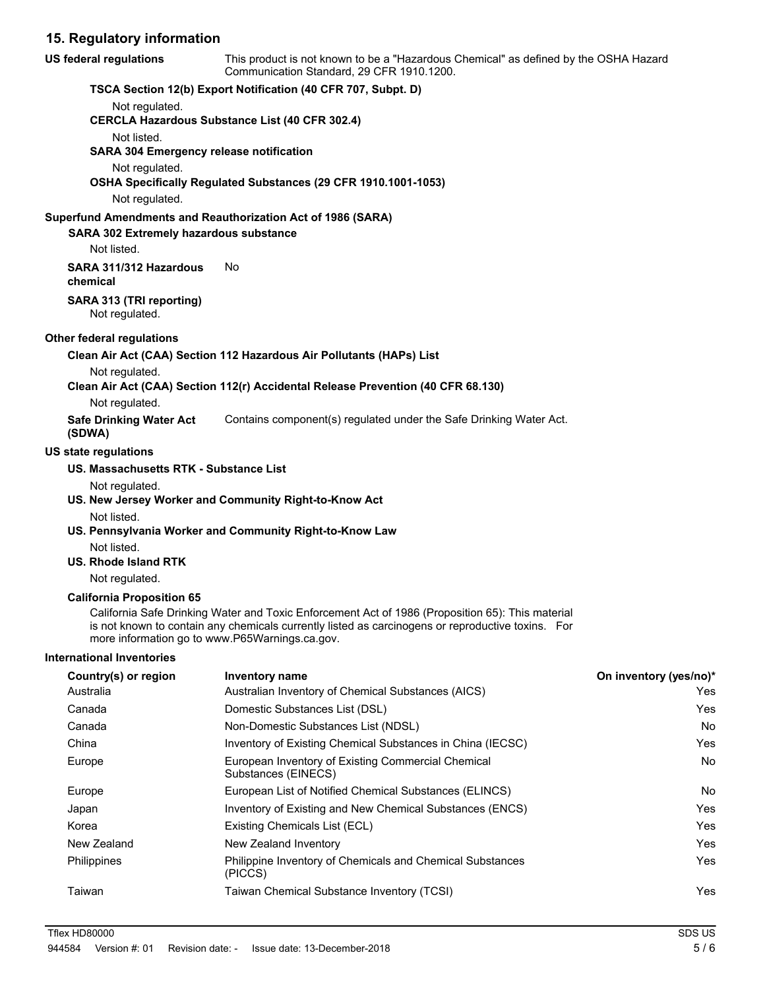### **15. Regulatory information**

| <b>US federal regulations</b>                         | This product is not known to be a "Hazardous Chemical" as defined by the OSHA Hazard<br>Communication Standard, 29 CFR 1910.1200.                                                                                                                       |                        |
|-------------------------------------------------------|---------------------------------------------------------------------------------------------------------------------------------------------------------------------------------------------------------------------------------------------------------|------------------------|
|                                                       | TSCA Section 12(b) Export Notification (40 CFR 707, Subpt. D)                                                                                                                                                                                           |                        |
| Not regulated.                                        |                                                                                                                                                                                                                                                         |                        |
|                                                       | <b>CERCLA Hazardous Substance List (40 CFR 302.4)</b>                                                                                                                                                                                                   |                        |
| Not listed.                                           |                                                                                                                                                                                                                                                         |                        |
| <b>SARA 304 Emergency release notification</b>        |                                                                                                                                                                                                                                                         |                        |
| Not regulated.                                        |                                                                                                                                                                                                                                                         |                        |
|                                                       | OSHA Specifically Regulated Substances (29 CFR 1910.1001-1053)                                                                                                                                                                                          |                        |
| Not regulated.                                        |                                                                                                                                                                                                                                                         |                        |
|                                                       | Superfund Amendments and Reauthorization Act of 1986 (SARA)                                                                                                                                                                                             |                        |
| SARA 302 Extremely hazardous substance<br>Not listed. |                                                                                                                                                                                                                                                         |                        |
| SARA 311/312 Hazardous<br>chemical                    | No                                                                                                                                                                                                                                                      |                        |
| SARA 313 (TRI reporting)                              |                                                                                                                                                                                                                                                         |                        |
| Not regulated.                                        |                                                                                                                                                                                                                                                         |                        |
| <b>Other federal regulations</b>                      |                                                                                                                                                                                                                                                         |                        |
|                                                       | Clean Air Act (CAA) Section 112 Hazardous Air Pollutants (HAPs) List                                                                                                                                                                                    |                        |
| Not regulated.                                        |                                                                                                                                                                                                                                                         |                        |
|                                                       | Clean Air Act (CAA) Section 112(r) Accidental Release Prevention (40 CFR 68.130)                                                                                                                                                                        |                        |
| Not regulated.                                        |                                                                                                                                                                                                                                                         |                        |
| <b>Safe Drinking Water Act</b><br>(SDWA)              | Contains component(s) regulated under the Safe Drinking Water Act.                                                                                                                                                                                      |                        |
| <b>US state regulations</b>                           |                                                                                                                                                                                                                                                         |                        |
| US. Massachusetts RTK - Substance List                |                                                                                                                                                                                                                                                         |                        |
| Not regulated.                                        | US. New Jersey Worker and Community Right-to-Know Act                                                                                                                                                                                                   |                        |
| Not listed.                                           | US. Pennsylvania Worker and Community Right-to-Know Law                                                                                                                                                                                                 |                        |
| Not listed.<br>US. Rhode Island RTK                   |                                                                                                                                                                                                                                                         |                        |
| Not regulated.                                        |                                                                                                                                                                                                                                                         |                        |
| <b>California Proposition 65</b>                      | California Safe Drinking Water and Toxic Enforcement Act of 1986 (Proposition 65): This material<br>is not known to contain any chemicals currently listed as carcinogens or reproductive toxins. For<br>more information go to www.P65Warnings.ca.gov. |                        |
| <b>International Inventories</b>                      |                                                                                                                                                                                                                                                         |                        |
| Country(s) or region                                  | <b>Inventory name</b>                                                                                                                                                                                                                                   | On inventory (yes/no)* |
| Australia                                             | Australian Inventory of Chemical Substances (AICS)                                                                                                                                                                                                      | Yes                    |
| Canada                                                | Domestic Substances List (DSL)                                                                                                                                                                                                                          | Yes                    |
| Canada                                                | Non-Domestic Substances List (NDSL)                                                                                                                                                                                                                     | No                     |
| China                                                 | Inventory of Existing Chemical Substances in China (IECSC)                                                                                                                                                                                              | Yes                    |
| Europe                                                | European Inventory of Existing Commercial Chemical<br>Substances (EINECS)                                                                                                                                                                               | No                     |
| Europe                                                | European List of Notified Chemical Substances (ELINCS)                                                                                                                                                                                                  | No                     |

Japan Inventory of Existing and New Chemical Substances (ENCS) Tes Korea **Existing Chemicals List (ECL) Existing Chemicals List (ECL) Nes** New Zealand New Zealand Inventory **New Zealand Inventory New Zealand Inventory New Zealand Inventory** Philippine Inventory of Chemicals and Chemical Substances Philippines Yes

Taiwan Taiwan Chemical Substance Inventory (TCSI) Yes

(PICCS)